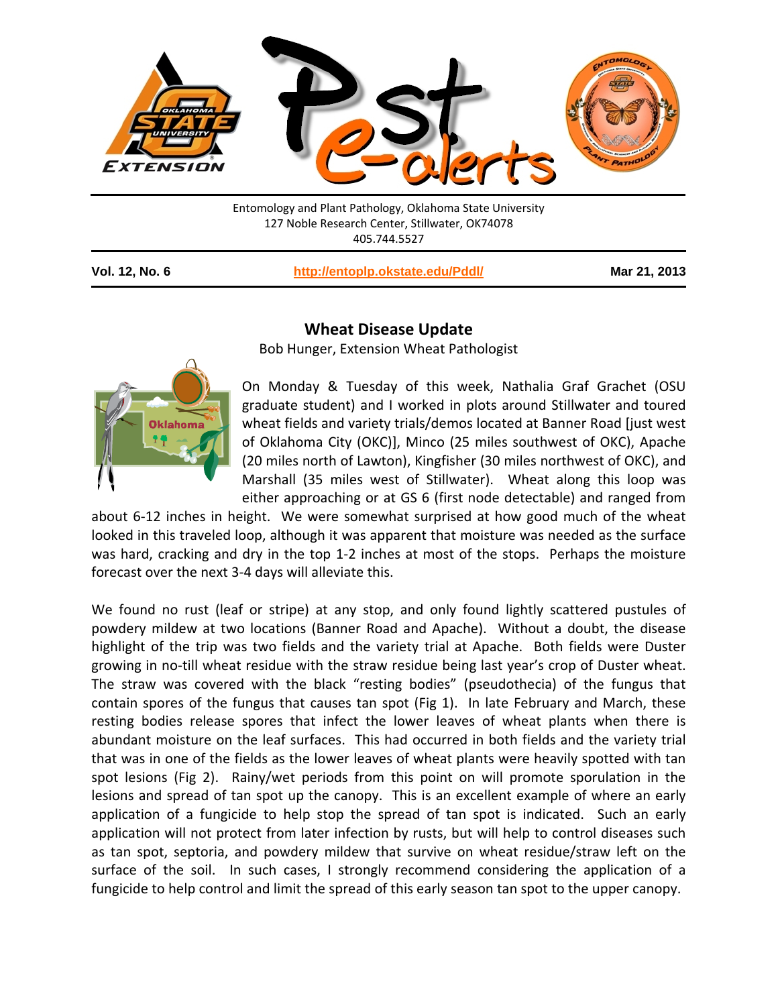

127 Noble Research Center, Stillwater, OK74078 405.744.5527

**Vol. 12, No. 6 <http://entoplp.okstate.edu/Pddl/> Mar 21, 2013**

## **Oklahoma**

## **Wheat Disease Update**

Bob Hunger, Extension Wheat Pathologist

On Monday & Tuesday of this week, Nathalia Graf Grachet (OSU graduate student) and I worked in plots around Stillwater and toured wheat fields and variety trials/demos located at Banner Road [just west of Oklahoma City (OKC)], Minco (25 miles southwest of OKC), Apache (20 miles north of Lawton), Kingfisher (30 miles northwest of OKC), and Marshall (35 miles west of Stillwater). Wheat along this loop was either approaching or at GS 6 (first node detectable) and ranged from

about 6-12 inches in height. We were somewhat surprised at how good much of the wheat looked in this traveled loop, although it was apparent that moisture was needed as the surface was hard, cracking and dry in the top 1-2 inches at most of the stops. Perhaps the moisture forecast over the next 3-4 days will alleviate this.

We found no rust (leaf or stripe) at any stop, and only found lightly scattered pustules of powdery mildew at two locations (Banner Road and Apache). Without a doubt, the disease highlight of the trip was two fields and the variety trial at Apache. Both fields were Duster growing in no-till wheat residue with the straw residue being last year's crop of Duster wheat. The straw was covered with the black "resting bodies" (pseudothecia) of the fungus that contain spores of the fungus that causes tan spot (Fig 1). In late February and March, these resting bodies release spores that infect the lower leaves of wheat plants when there is abundant moisture on the leaf surfaces. This had occurred in both fields and the variety trial that was in one of the fields as the lower leaves of wheat plants were heavily spotted with tan spot lesions (Fig 2). Rainy/wet periods from this point on will promote sporulation in the lesions and spread of tan spot up the canopy. This is an excellent example of where an early application of a fungicide to help stop the spread of tan spot is indicated. Such an early application will not protect from later infection by rusts, but will help to control diseases such as tan spot, septoria, and powdery mildew that survive on wheat residue/straw left on the surface of the soil. In such cases, I strongly recommend considering the application of a fungicide to help control and limit the spread of this early season tan spot to the upper canopy.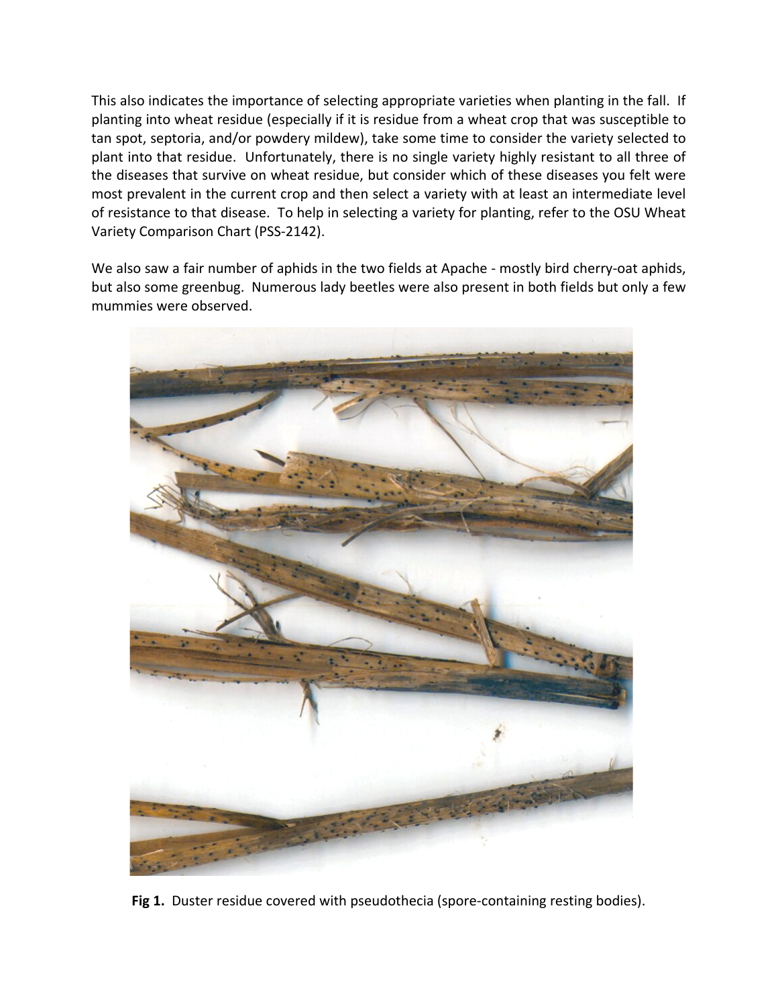This also indicates the importance of selecting appropriate varieties when planting in the fall. If planting into wheat residue (especially if it is residue from a wheat crop that was susceptible to tan spot, septoria, and/or powdery mildew), take some time to consider the variety selected to plant into that residue. Unfortunately, there is no single variety highly resistant to all three of the diseases that survive on wheat residue, but consider which of these diseases you felt were most prevalent in the current crop and then select a variety with at least an intermediate level of resistance to that disease. To help in selecting a variety for planting, refer to the OSU Wheat Variety Comparison Chart (PSS-2142).

We also saw a fair number of aphids in the two fields at Apache - mostly bird cherry-oat aphids, but also some greenbug. Numerous lady beetles were also present in both fields but only a few mummies were observed.



**Fig 1.** Duster residue covered with pseudothecia (spore-containing resting bodies).